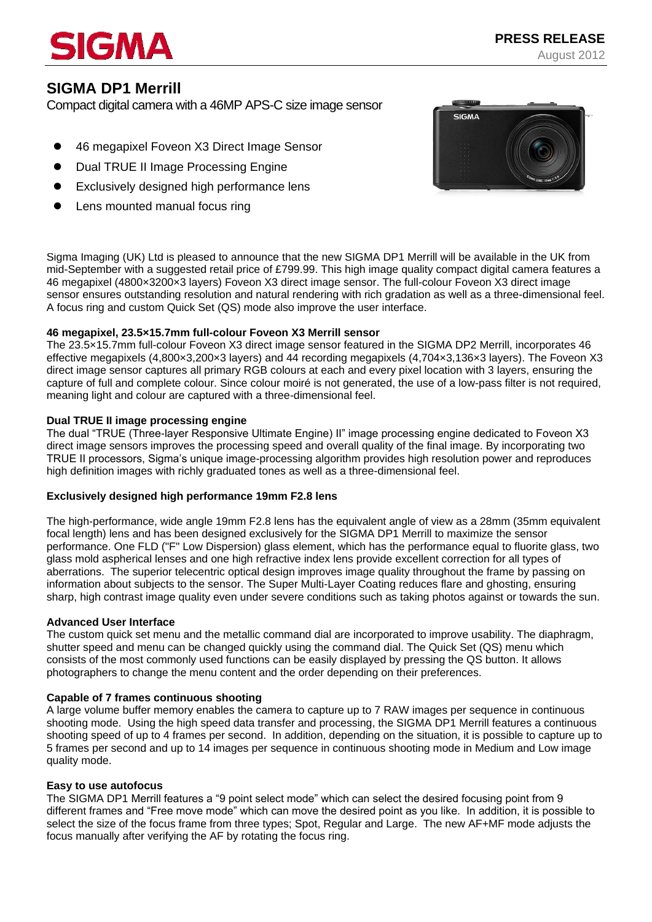# IGMA

# **SIGMA DP1 Merrill**

Compact digital camera with a 46MP APS-C size image sensor

- 46 megapixel Foveon X3 Direct Image Sensor
- Dual TRUE II Image Processing Engine
- Exclusively designed high performance lens
- Lens mounted manual focus ring



Sigma Imaging (UK) Ltd is pleased to announce that the new SIGMA DP1 Merrill will be available in the UK from mid-September with a suggested retail price of £799.99. This high image quality compact digital camera features a 46 megapixel (4800×3200×3 layers) Foveon X3 direct image sensor. The full-colour Foveon X3 direct image sensor ensures outstanding resolution and natural rendering with rich gradation as well as a three-dimensional feel. A focus ring and custom Quick Set (QS) mode also improve the user interface.

# **46 megapixel, 23.5×15.7mm full-colour Foveon X3 Merrill sensor**

The 23.5×15.7mm full-colour Foveon X3 direct image sensor featured in the SIGMA DP2 Merrill, incorporates 46 effective megapixels (4,800×3,200×3 layers) and 44 recording megapixels (4,704×3,136×3 layers). The Foveon X3 direct image sensor captures all primary RGB colours at each and every pixel location with 3 layers, ensuring the capture of full and complete colour. Since colour moiré is not generated, the use of a low-pass filter is not required, meaning light and colour are captured with a three-dimensional feel.

# **Dual TRUE II image processing engine**

The dual "TRUE (Three-layer Responsive Ultimate Engine) II" image processing engine dedicated to Foveon X3 direct image sensors improves the processing speed and overall quality of the final image. By incorporating two TRUE II processors, Sigma's unique image-processing algorithm provides high resolution power and reproduces high definition images with richly graduated tones as well as a three-dimensional feel.

# **Exclusively designed high performance 19mm F2.8 lens**

The high-performance, wide angle 19mm F2.8 lens has the equivalent angle of view as a 28mm (35mm equivalent focal length) lens and has been designed exclusively for the SIGMA DP1 Merrill to maximize the sensor performance. One FLD ("F" Low Dispersion) glass element, which has the performance equal to fluorite glass, two glass mold aspherical lenses and one high refractive index lens provide excellent correction for all types of aberrations. The superior telecentric optical design improves image quality throughout the frame by passing on information about subjects to the sensor. The Super Multi-Layer Coating reduces flare and ghosting, ensuring sharp, high contrast image quality even under severe conditions such as taking photos against or towards the sun.

# **Advanced User Interface**

The custom quick set menu and the metallic command dial are incorporated to improve usability. The diaphragm, shutter speed and menu can be changed quickly using the command dial. The Quick Set (QS) menu which consists of the most commonly used functions can be easily displayed by pressing the QS button. It allows photographers to change the menu content and the order depending on their preferences.

# **Capable of 7 frames continuous shooting**

A large volume buffer memory enables the camera to capture up to 7 RAW images per sequence in continuous shooting mode. Using the high speed data transfer and processing, the SIGMA DP1 Merrill features a continuous shooting speed of up to 4 frames per second. In addition, depending on the situation, it is possible to capture up to 5 frames per second and up to 14 images per sequence in continuous shooting mode in Medium and Low image quality mode.

# **Easy to use autofocus**

The SIGMA DP1 Merrill features a "9 point select mode" which can select the desired focusing point from 9 different frames and "Free move mode" which can move the desired point as you like. In addition, it is possible to select the size of the focus frame from three types; Spot, Regular and Large. The new AF+MF mode adjusts the focus manually after verifying the AF by rotating the focus ring.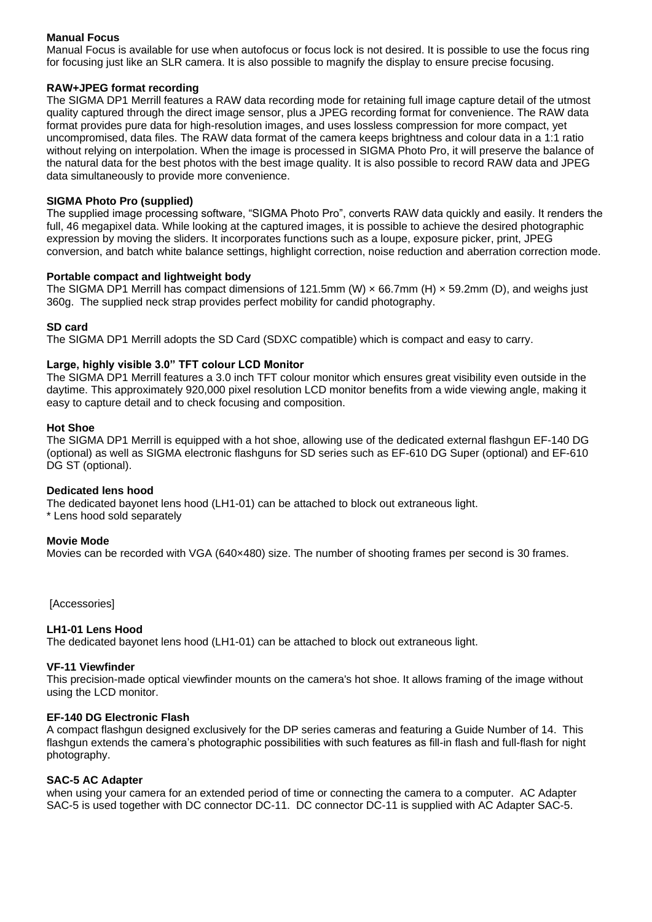# **Manual Focus**

Manual Focus is available for use when autofocus or focus lock is not desired. It is possible to use the focus ring for focusing just like an SLR camera. It is also possible to magnify the display to ensure precise focusing.

# **RAW+JPEG format recording**

The SIGMA DP1 Merrill features a RAW data recording mode for retaining full image capture detail of the utmost quality captured through the direct image sensor, plus a JPEG recording format for convenience. The RAW data format provides pure data for high-resolution images, and uses lossless compression for more compact, yet uncompromised, data files. The RAW data format of the camera keeps brightness and colour data in a 1:1 ratio without relying on interpolation. When the image is processed in SIGMA Photo Pro, it will preserve the balance of the natural data for the best photos with the best image quality. It is also possible to record RAW data and JPEG data simultaneously to provide more convenience.

# **SIGMA Photo Pro (supplied)**

The supplied image processing software, "SIGMA Photo Pro", converts RAW data quickly and easily. It renders the full, 46 megapixel data. While looking at the captured images, it is possible to achieve the desired photographic expression by moving the sliders. It incorporates functions such as a loupe, exposure picker, print, JPEG conversion, and batch white balance settings, highlight correction, noise reduction and aberration correction mode.

#### **Portable compact and lightweight body**

The SIGMA DP1 Merrill has compact dimensions of 121.5mm (W)  $\times$  66.7mm (H)  $\times$  59.2mm (D), and weighs just 360g. The supplied neck strap provides perfect mobility for candid photography.

#### **SD card**

The SIGMA DP1 Merrill adopts the SD Card (SDXC compatible) which is compact and easy to carry.

#### **Large, highly visible 3.0" TFT colour LCD Monitor**

The SIGMA DP1 Merrill features a 3.0 inch TFT colour monitor which ensures great visibility even outside in the daytime. This approximately 920,000 pixel resolution LCD monitor benefits from a wide viewing angle, making it easy to capture detail and to check focusing and composition.

#### **Hot Shoe**

The SIGMA DP1 Merrill is equipped with a hot shoe, allowing use of the dedicated external flashgun EF-140 DG (optional) as well as SIGMA electronic flashguns for SD series such as EF-610 DG Super (optional) and EF-610 DG ST (optional).

#### **Dedicated lens hood**

The dedicated bayonet lens hood (LH1-01) can be attached to block out extraneous light. \* Lens hood sold separately

#### **Movie Mode**

Movies can be recorded with VGA (640×480) size. The number of shooting frames per second is 30 frames.

[Accessories]

# **LH1-01 Lens Hood**

The dedicated bayonet lens hood (LH1-01) can be attached to block out extraneous light.

#### **VF-11 Viewfinder**

This precision-made optical viewfinder mounts on the camera's hot shoe. It allows framing of the image without using the LCD monitor.

# **EF-140 DG Electronic Flash**

A compact flashgun designed exclusively for the DP series cameras and featuring a Guide Number of 14. This flashgun extends the camera's photographic possibilities with such features as fill-in flash and full-flash for night photography.

#### **SAC-5 AC Adapter**

when using your camera for an extended period of time or connecting the camera to a computer. AC Adapter SAC-5 is used together with DC connector DC-11. DC connector DC-11 is supplied with AC Adapter SAC-5.